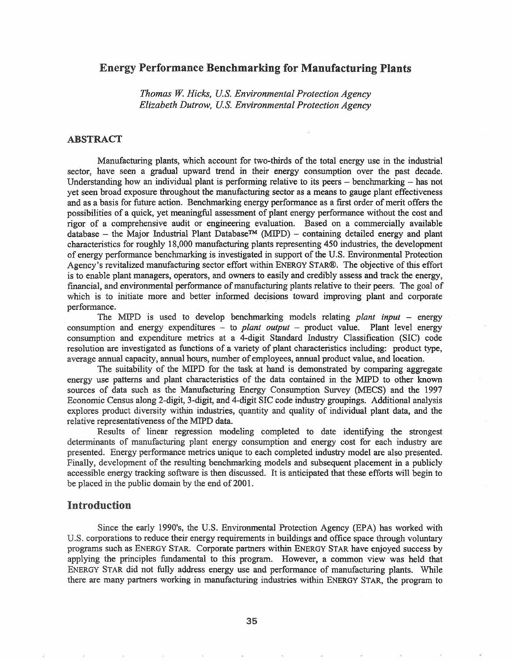# Energy Performance Benchmarking for Manufacturing Plants

*Thomas* W. *Hicks, U.S. Environmental Protection Agency Elizabeth Dutrow, U.S. Environmental Proiection Agency*

### ABSTRACT

Manufacturing plants, which account for two-thirds of the total energy use in the industrial sector, have seen a gradual upward trend in their energy consumption over the past decade. Understanding how an individual plant is performing relative to its peers  $-$  benchmarking  $-$  has not yet seen broad exposure throughout the manufacturing sector as a means to gauge plant effectiveness and as a basis for future action. Benchmarking energy performance as a first order of merit offers the possibilities of a quick, yet meaningful assessment of plant energy performance without the cost and rigor of a comprehensive audit or engineering evaluation. Based on a commercially available database - the Major Industrial Plant Database<sup>TM</sup> (MIPD) - containing detailed energy and plant characteristics for roughly 18,000 manufacturing plants representing 450 industries, the development of energy performance benchmarking is investigated in support of the U.S. Environmental Protection Agency's revitalized manufacturing sector effort within ENERGY STAR®. The objective ofthis effort is to enable plant managers, operators, and owners to easily and credibly assess and track the energy, financial, and environmental performance of manufacturing plants relative to their peers. The goal of which is to initiate more and better informed decisions toward improving plant and corporate performance.

The MIPD is used to develop benchmarking models relating *plant input* – energy consumption and energy expenditures - to *plant output* - product value. Plant level energy consumption and expenditure metrics at a 4-digit Standard Industry Classification (SIC) code resolution are investigated as functions of a variety of plant characteristics including: product type, average annual capacity, annual hours, number of employees, annual product value, and location.

The suitability of the MIPD for the task at hand is demonstrated by comparing aggregate energy use patterns and plant characteristics of the data contained in the MIPD to other known sources of data such as the Manufacturing Energy Consumption Survey (MECS) and the 1997 Economic Census along 2-digit, 3-digit, and 4-digit SIC code industry groupings. Additional analysis explores product diversity within industries, quantity and quality of individual plant data, and the relative representativeness of the MIPD data.

Results of linear regression modeling completed to date identifying the strongest determinants of manufacturing plant energy consumption and energy cost for each industry are presented. Energy performance metrics unique to each completed industry model are also presented. Finally, development of the resulting benchmarking models and subsequent placement in a publicly accessible energy tracking software is then discussed. It is anticipated that these efforts will begin to be placed in the public domain by the end of 2001.

### Introduction

Since the early 1990's, the U.S. Environmental Protection Agency (EPA) has worked with U.S. corporations to reduce their energy requirements in buildings and office space through voluntary programs such as ENERGY STAR. Corporate partners within ENERGY STAR have enjoyed success by applying the principles fundamental to this program. However, a common view was held that ENERGY STAR did not fully address energy use and performance of manufacturing plants. While there are many partners working in manufacturing industries within ENERGY STAR, the program to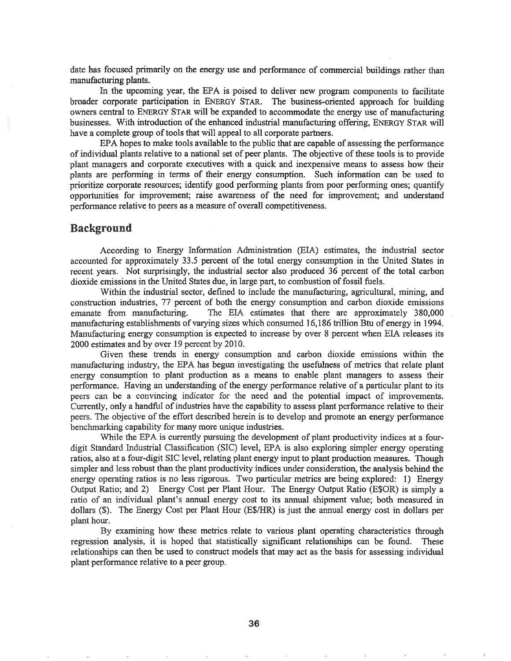date has focused primarily on the energy use and performance of commercial buildings rather than manufacturing plants.

In the upcoming year, the EPA is poised to deliver new program components to facilitate broader corporate participation in ENERGY STAR. The business-oriented approach for building owners central to ENERGY STAR will be expanded to accommodate the energy use of manufacturing businesses. With introduction of the enhanced industrial manufacturing offering, ENERGY STAR will have a complete group of tools that will appeal to all corporate partners.

EPA hopes to make tools available to the public that are capable of assessing the performance of individual plants relative to a national set of peer plants. The objective of these tools is to provide plant managers and corporate executives with a quick and inexpensive means to assess how their plants are performing in terms of their energy consumption. Such information can be used to prioritize corporate resources; identify good performing plants from poor performing ones; quantify opportunities for improvement; raise awareness of the need for improvement; and understand performance relative to peers as a measure of overall competitiveness.

### Background

According to Energy Information Administration (EIA) estimates, the industrial sector accounted for approximately 33.5 percent of the total energy consumption in the United States in recent years. Not surprisingly, the industrial sector also produced 36 percent of the total carbon dioxide emissions in the United States due, in large part, to combustion of fossil fuels.

Within the industrial sector, defined to include the manufacturing, agricultural, mining, and construction industries, 77 percent of both the energy consumption and carbon dioxide emissions emanate from manufacturing. The EIA estimates that there are approximately 380,000 manufacturing establishments of varying sizes which consumed 16,186 trillion Btu of energy in 1994. Manufacturing energy consumption is expected to increase by over 8 percent when EIA releases its 2000 estimates and by over 19 percent by 2010.

Given these trends in energy consumption and carbon dioxide emissions within the manufacturing industry, the EPA has begun investigating the usefulness of metrics that relate plant energy consumption to plant production as a means to enable plant managers to assess their performance. Having an understanding of the energy performance relative of a particular plant to its peers can be a convincing indicator for the need and the potential impact of improvements. Currently, only a handful of industries have the capability to assess plant performance relative to their peers. The objective of the effort described herein is to develop and promote an energy performance benchmarking capability for many more unique industries.

While the EPA is currently pursuing the development of plant productivity indices at a fourdigit Standard Industrial Classification (SIC) level, EPA is also exploring simpler energy operating ratios, also at a four-digit SIC level, relating plant energy input to plant production measures. Though simpler and less robust than the plant productivity indices under consideration, the analysis behind the energy operating ratios is no less rigorous. Two particular metrics are being explored: 1) Energy Output Ratio; and 2) Energy Cost per Plant Hour. The Energy Output Ratio (E\$OR) is simply a ratio of an individual plant's annual energy cost to its annual shipment value; both measured in dollars (\$). The Energy Cost per Plant Hour (E\$/HR) is just the annual energy cost in dollars per plant hour.

By examining how these metrics relate to various plant operating characteristics through regression analysis, it is hoped that statistically significant relationships can be found. These relationships can then be used to construct models that may act as the basis for assessing individual plant performance relative to a peer group.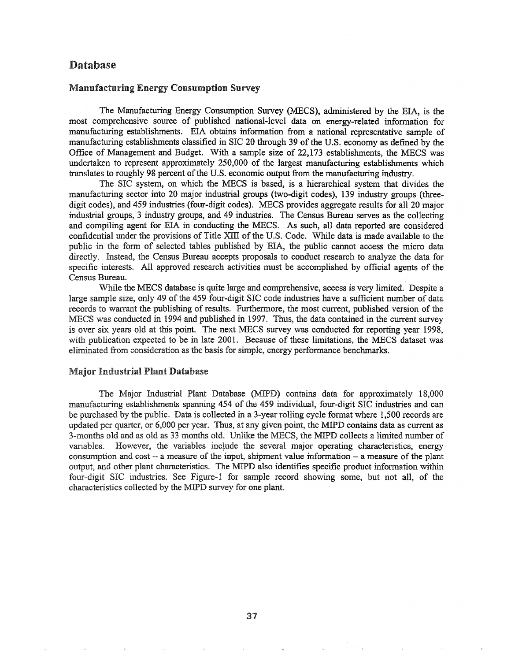# Database

### Manufacturing Energy Consumption Survey

The Manufacturing Energy Consumption Survey (MECS), administered by the EIA, is the most comprehensive source of published national-level data on energy-related information for manufacturing establishments. EIA obtains information from a national representative sample of manufacturing establishments classified in SIC 20 through 39 of the U.S. economy as defined by the Office of Management and Budget. With a sample size of 22,173 establishments, the MECS was undertaken to represent approximately 250,000 of the largest manufacturing establishments which translates to roughly 98 percent of the U.S. economic output from the manufacturing industry.

The SIC system, on which the MECS is based, is a hierarchical system that divides the manufacturing sector into 20 major industrial groups (two-digit codes), 139 industry groups (threedigit codes), and 459 industries (four-digit codes). MECS provides aggregate results for all 20 major industrial groups, 3 industry groups, and 49 industries. The Census Bureau serves as the collecting and compiling agent for EIA in conducting the MECS. As such, all data reported are considered confidential under the provisions of Title XIII of the U.S. Code. While data is made available to the public in the fonn of selected tables published by EIA, the public cannot access the micro data directly. Instead, the Census Bureau accepts proposals to conduct research to analyze the data for specific interests. All approved research activities must be accomplished by official agents of the Census Bureau. .

While the MECS database is quite large and comprehensive, access is very limited. Despite a large sample size, only 49 of the 459 four-digit SIC code industries have a sufficient number of data records to warrant the publishing of results. Furthermore, the most current, published version of the MECS was conducted in 1994 and published in 1997. Thus, the data contained in the current survey is over six years old at this point. The next MECS survey was conducted for reporting year 1998, with publication expected to be in late 2001. Because of these limitations, the MECS dataset was eliminated from consideration as the basis for simple, energy performance benchmarks.

### Major Industrial Plant Database

The' Major Industrial Plant Database (MIPD) contains data for approximately 18,000 manufacturing establishments spanning 454 of the 459 individual, four-digit SIC industries and can be purchased by the public. Data is collected in a 3-year rolling cycle format where 1,500 records are updated per quarter, or 6,000 per year. Thus, at any given point, the MIPD contains data as current as 3-months old and as old as 33 months old. Unlike the MECS, the MIPD collects a limited number of variables. However, the variables include the several major operating characteristics, energy consumption and  $cost - a$  measure of the input, shipment value information  $- a$  measure of the plant output, and other plant characteristics. The MIPD also identifies specific product information within four-digit SIC industries. See Figure-1 for sample record showing some, but not all, of the characteristics collected by the MIPD survey for one plant.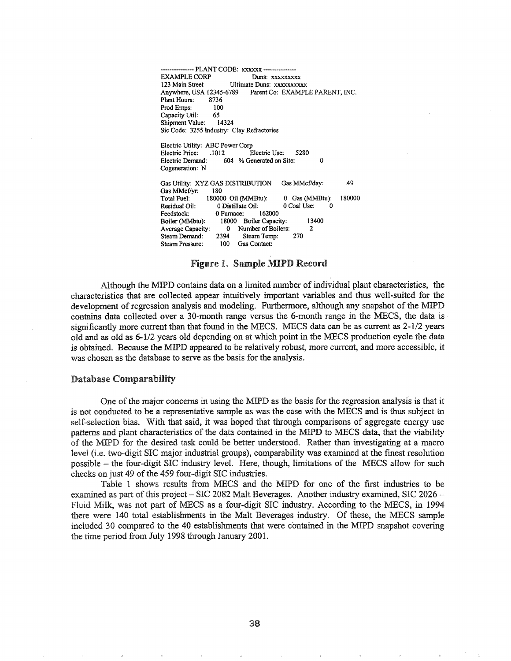------- PLANT CODE: xxxxxx ------- EXAMPLE CORP 123 Main Street Ultimate Duns: xxxxxxxxxx Anywhere, USA 12345-6789 Parent Co: EXAMPLE PARENT, INC.<br>Plant Hours: 8736 Plant Hours: Prod Emps: 100<br>Capacity Util: 65 Capacity Util: 65<br>Shipment Value: 14324 Shipment Value: Sic Code: 3255 Industry: Clay Refractories Electric Utility: ABC Power Corp Electric Price: .1012 Electric Use: 5280<br>Electric Demand: 604 % Generated on Site: 604 % Generated on Site: 0 Cogeneration: N Gas Utility: XYZ GAS DISTRIBUTION Gas MMcf/day: . . . 49 Gas MMcf/vr: 180 Total Fuel: 180000 Oil (MMBtu): 0 Gas (MMBtu): 180000 Residual Oil: 0 Distillate Oil: 0 Coal Use: 0 Feedstock: 0 Furnace: 162000<br>Boiler (MMbtu): 18000 Boiler Capaci 18000 Boiler Capacity: 13400

### Figure 1. Sample MIPD Record

Average Capacity: 0 Number of Boilers: 2<br>Steam Demand: 2394 Steam Temp: 270

Steam Pressure: 100 Gas Contact:

Steam Demand: 2394<br>Steam Pressure: 100

Although the MIPD contains data on a limited number of individual plant characteristics, the characteristics that are collected appear intuitively important variables and thus well-suited for the development of regression analysis and modeling. Furthermore, although any snapshot of the MIPD contains data collected over a 30-month range versus the 6-month range in the MECS, the data is significantly more current than that found in the MECS. MECS data can be as current as 2-1/2 years old and as old as 6-1/2 years old depending on at which point in the MECS production cycle the data is obtained. Because the MIPD appeared to be relatively robust, more current, and more accessible, it was chosen as the database to serve as the basis for the analysis.

#### Database Comparability

One of the major concerns in using the MIPD as the basis for the regression analysis is that it is not conducted to be a representative sample as was the case with the MECS and is thus subject to self-selection bias. With that said, it was hoped that through comparisons of aggregate energy use patterns and plant characteristics of the data contained in the MIPD to MECS data, that the viability of MIPD for the desired task could be better understood& Rather than investigating at a macro level (i.e. two-digit SIC major industrial groups), comparability was examined at the finest resolution possible - the four-digit SIC industry level. Here, though, limitations of the MECS allow for such checks on just 49 of the 459 four-digit SIC industries.

Table 1 shows results from MECS and the MIPD for one of the fIrst industries to be examined as part of this project - SIC 2082 Malt Beverages. Another industry examined, SIC 2026 -Fluid Milk, was not part of MECS as a four-digit SIC industry. According to the MECS, in 1994 there were 140 total establishments in the Malt Beverages industry. Of these, the MECS sample included 30 compared to the 40 establishments that were contained in the MIPD snapshot covering the time period from July 1998 through January  $2001$ .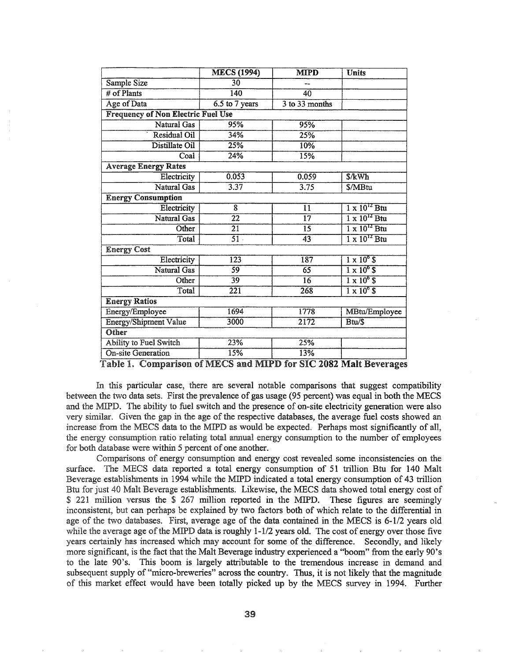|                                           | <b>MECS</b> (1994) | <b>MIPD</b>     | <b>Units</b>                     |  |  |  |  |
|-------------------------------------------|--------------------|-----------------|----------------------------------|--|--|--|--|
| Sample Size                               | 30                 | --              |                                  |  |  |  |  |
| # of Plants                               | 140                | 40              |                                  |  |  |  |  |
| Age of Data                               | 6.5 to 7 years     | 3 to 33 months  |                                  |  |  |  |  |
| <b>Frequency of Non Electric Fuel Use</b> |                    |                 |                                  |  |  |  |  |
| Natural Gas                               | 95%                | 95%             |                                  |  |  |  |  |
| <b>Residual Oil</b>                       | 34%                | 25%             |                                  |  |  |  |  |
| Distillate Oil                            | 25%                | 10%             |                                  |  |  |  |  |
| Coal                                      | 24%                | 15%             |                                  |  |  |  |  |
| <b>Average Energy Rates</b>               |                    |                 |                                  |  |  |  |  |
| Electricity                               | 0.053              | 0.059           | \$/kWh                           |  |  |  |  |
| Natural Gas                               | 3.37               | 3.75            | \$/MBtu                          |  |  |  |  |
| <b>Energy Consumption</b>                 |                    |                 |                                  |  |  |  |  |
| Electricity                               | $\overline{8}$     | 11              | $1 \times 10^{12}$ Btu           |  |  |  |  |
| Natural Gas                               | $\overline{22}$    | $\overline{17}$ | $1 \times 10^{12}$ Btu           |  |  |  |  |
| Other                                     | 21                 | 15              | $1 \times 10^{12}$ Btu           |  |  |  |  |
| Total                                     | $\overline{51}$    | 43              | $\frac{1}{1} \times 10^{12}$ Btu |  |  |  |  |
| <b>Energy Cost</b>                        |                    |                 |                                  |  |  |  |  |
| Electricity                               | 123                | 187             | $1 \times 10^6$ \$               |  |  |  |  |
| Natural Gas                               | 59                 | $\overline{65}$ | $1 \times 10^6$ \$               |  |  |  |  |
| Other                                     | 39                 | 16              | $1 \times 10^6$ S                |  |  |  |  |
| Total                                     | $\overline{221}$   | 268             | $1 \times 10^6$ \$               |  |  |  |  |
| <b>Energy Ratios</b>                      |                    |                 |                                  |  |  |  |  |
| Energy/Employee                           | 1694               | 1778            | MBtu/Employee                    |  |  |  |  |
| <b>Energy/Shipment Value</b>              | 3000               | 2172            | Btu/\$                           |  |  |  |  |
| Other                                     |                    |                 |                                  |  |  |  |  |
| <b>Ability to Fuel Switch</b>             | 23%                | 25%             |                                  |  |  |  |  |
| <b>On-site Generation</b>                 | 15%                | 13%             |                                  |  |  |  |  |

Table 1. Comparison of MECS and MIPD for SIC 2082 Malt Beverages

In this particular case, there are several notable comparisons that suggest compatibility between the two data sets. First the prevalence of gas usage (95 percent) was equal in both the MECS and the MIPD. The ability to fuel switch and the presence of on-site electricity generation were also very similar. Given the gap in the age of the respective databases, the average fuel costs showed an increase from the MECS data to the MIPD as would be expected. Perhaps most significantly of all, the energy consumption ratio relating total annual energy consumption to the number of employees for both database were within 5 percent of one another.

Comparisons of energy consumption and energy cost revealed some inconsistencies on the surface. The MECS data reported a total energy consumption of 51 trillion Btu for 140 Malt Beverage establishments in 1994 while the MIPD indicated a total energy consumption of 43 trillion Btu for just 40 Malt Beverage establishments. Likewise, the MECS data showed total energy cost of \$ 221 million versus the \$ 267 million reported in the MIPD. These figures are seemingly inconsistent, but can perhaps be explained by two factors both of which relate to the differential in age of the two databases. First, average age of the data contained in the MECS is 6-1/2 years old while the average age of the MIPD data is roughly  $1-1/2$  years old. The cost of energy over those five years certainly has increased which may account for some of the difference.. Secondly, and likely more significant, is the fact that the Malt Beverage industry experienced a "boom" from the early 90's to the late 90's. This boom is largely attributable to the tremendous increase in demand and subsequent supply of "micro-breweries" across the country.. Thus, it is not likely that the magnitude of this market effect would have been totally picked up by the MECS survey in 1994. Further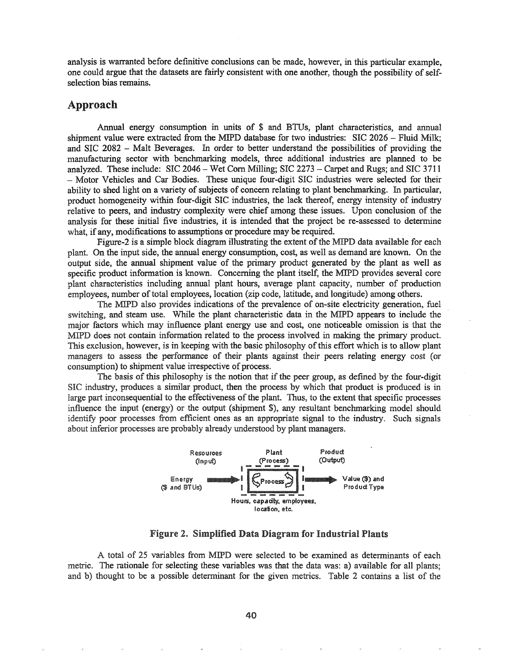analysis is warranted before definitive conclusions can be made, however, in this particular example, one could argue that the datasets are fairly consistent with one another, though the possibility of selfselection bias remains.

### Approach

Annual energy consumption in units of \$ and BTUs, plant characteristics, and annual shipment value were extracted from the MIPD database for two industries: SIC 2026 - Fluid Milk; and SIC  $2082$  - Malt Beverages. In order to better understand the possibilities of providing the manufacturing sector with benchmarking models, three additional industries are planned to be analyzed. These include: SIC 2046 - Wet Corn Milling; SIC 2273 - Carpet and Rugs; and SIC 3711 - Motor Vehicles and Car Bodies. These unique four-digit SIC industries were selected for their ability to shed light on a variety of subjects of concern relating to plant benchmarking. In particular, product homogeneity within four-digit SIC industries, the lack thereof, energy intensity of industry relative to peers, and industry complexity were chief among these issues. Upon conclusion of the analysis for these initial five industries, it is intended that the project be re-assessed to determine what, if any, modifications to assumptions or procedure may be required.

Figure-2 is a simple block diagram illustrating the extent of the MIPD data available for each plant. On the input side, the annual energy consumption, cost, as well as demand are known. On the output side, the annual shipment value of the primary product generated by the plant as well as specific product information is known. Concerning the plant itself, the MIPD provides several core plant characteristics including annual plant hours, average plant capacity, number of production employees, number of total employees, location (zip code, latitude, and longitude) among others.

The MIPD also provides indications of the prevalence of on-site electricity generation, fuel switching, and steam use.. While the plant characteristic data in the MIPD appears to include the major factors which may influence plant energy use and cost, one noticeable omission is that the MIPD does not contain information related to the process involved in making the primary product. This exclusion, however, is in keeping with the basic philosophy ofthis effort which is to allow plant managers to assess the performance of their plants against their peers relating energy cost (or consumption) to shipment value irrespective of process.

The basis of this philosophy is the notion that if the peer group, as defined by the four-digit SIC industry, produces a similar product, then the process by which that product is produced is in large part inconsequential to the effectiveness of the plant. Thus, to the extent that specific processes influence the input (energy) or the output (shipment \$), any resultant benchmarking model should identify poor processes from efficient ones as an appropriate signal to the industry. Such signals about inferior processes are probably already understood by plant managers.



Figure 2. Simplified Data Diagram for Industrial Plants

A total of 25 variables from MIPD were selected to be examined as determinants of each metric. The rationale for selecting these variables was that the data was: a) available for all plants; and b) thought to be a possible determinant for the given metrics. Table 2 contains a list of the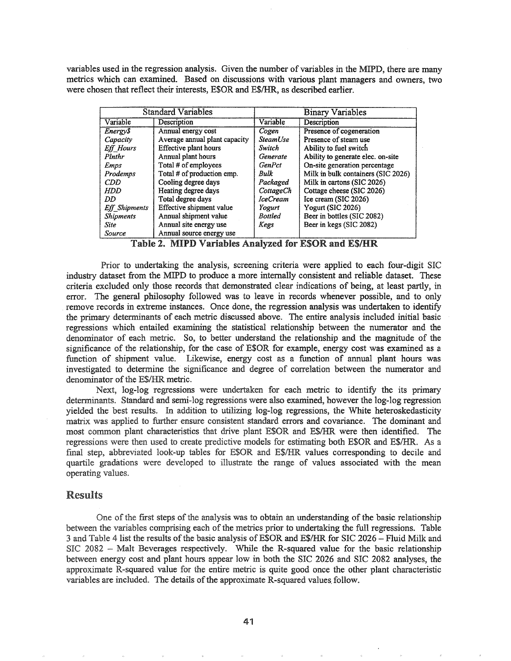variables used in the regression analysis. Given the number of variables in the MIPD, there are many metrics which can examined. Based on discussions with various plant managers and owners, two were chosen that reflect their interests, E\$OR and E\$/HR, as described earlier.

| <b>Standard Variables</b> |                               | <b>Binary Variables</b> |                                    |  |
|---------------------------|-------------------------------|-------------------------|------------------------------------|--|
| Variable                  | Description                   | Variable                | Description                        |  |
| Energy\$                  | Annual energy cost            | Cogen                   | Presence of cogeneration           |  |
| Capacity                  | Average annual plant capacity | SteamUse                | Presence of steam use              |  |
| <b>Eff</b> Hours          | Effective plant hours         | Switch                  | Ability to fuel switch             |  |
| Plnthr                    | Annual plant hours            | Generate                | Ability to generate elec. on-site  |  |
| Emps                      | Total # of employees          | <b>GenPct</b>           | On-site generation percentage      |  |
| Prodemps                  | Total # of production emp.    | Bulk                    | Milk in bulk containers (SIC 2026) |  |
| <b>CDD</b>                | Cooling degree days           | Packaged                | Milk in cartons (SIC 2026)         |  |
| <b>HDD</b>                | Heating degree days           | CottageCh               | Cottage cheese (SIC 2026)          |  |
| DD                        | Total degree days             | <i>IceCream</i>         | Ice cream (SIC 2026)               |  |
| Eff_Shipments             | Effective shipment value      | Yogurt                  | Yogurt (SIC 2026)                  |  |
| <b>Shipments</b>          | Annual shipment value         | <b>Bottled</b>          | Beer in bottles (SIC 2082)         |  |
| <b>Site</b>               | Annual site energy use        | Kegs                    | Beer in kegs (SIC 2082)            |  |
| Source                    | Annual source energy use      |                         |                                    |  |

Table 2. MIPD Variables Analyzed for E\$OR and E\$/HR

Prior to undertaking the analysis, screening criteria were applied to each four-digit SIC industry dataset from the MIPD to produce a more internally consistent and reliable dataset. These criteria excluded only those records that demonstrated clear indications of being, at least partly, in error. The general philosophy followed was to leave in records whenever possible, and to only remove records in extreme instances. Once done, the regression analysis was undertaken to identify the primary determinants of each metric discussed above.. The entire analysis included initial basic regressions which entailed examining the statistical relationship between the numerator and the denominator of each metric. So, to better understand the relationship and the magnitude of the significance of the relationship, for the case of E\$OR for example, energy cost was examined as a function of shipment value. Likewise, energy cost as a function of annual plant hours was investigated to determine the significance and degree of correlation between the numerator and denominator of the E\$/HR metric.

Next, log-log regressions were undertaken for each metric to identify the its primary determinants. Standard and semi-log regressions were also examined, however the log-log regression yielded the best results. In addition to utilizing log-log regressions, the White heteroskedasticity matrix was applied to further ensure consistent standard errors and covariance. The dominant and most common plant characteristics that drive plant E\$OR and E\$/HR were then identified. The regressions were then used to create predictive models for estimating both E\$OR and E\$/HR. As a final step, abbreviated look-up tables for E\$OR and E\$/HR values corresponding to decile and quartile gradations were developed to illustrate the range of values associated with the mean operating values.

### **Results**

One of the first steps of the analysis was to obtain an understanding of the basic relationship between the variables comprising each of the metrics prior to undertaking the full regressions. Table 3 and Table 4 list the results of the basic analysis of E\$OR and E\$/HR for SIC 2026 - Fluid Milk and 2082 - Malt Beverages respectively. While the R-squared value for the basic relationship between energy cost and plant hours appear low in both the SIC 2026 and SIC 2082 analyses, the approximate R-squared value for the entire metric is quite good once the other plant characteristic variables are included. The details of the approximate R-squared values follow.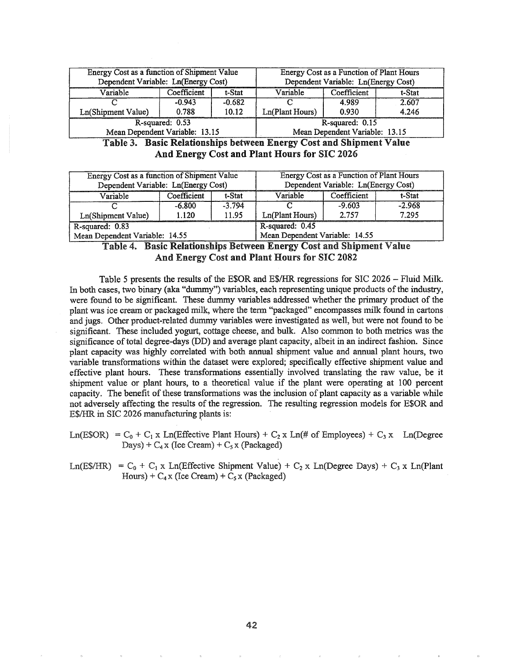| Energy Cost as a function of Shipment Value<br>Dependent Variable: Ln(Energy Cost) |             |          | Energy Cost as a Function of Plant Hours<br>Dependent Variable: Ln(Energy Cost) |       |       |  |
|------------------------------------------------------------------------------------|-------------|----------|---------------------------------------------------------------------------------|-------|-------|--|
| Variable                                                                           | Coefficient | t-Stat   | Variable<br>Coefficient<br>t-Stat                                               |       |       |  |
|                                                                                    | $-0.943$    | $-0.682$ |                                                                                 | 4.989 | 2.607 |  |
| Ln(Shipment Value)                                                                 | 0.788       | 10.12    | Ln(Plant Hours)<br>4.246<br>0.930                                               |       |       |  |
| R-squared: 0.53                                                                    |             |          | R-squared: 0.15                                                                 |       |       |  |
| Mean Dependent Variable: 13.15                                                     |             |          | Mean Dependent Variable: 13.15                                                  |       |       |  |

Table 3. Basic Relationships between Energy Cost and Shipment Value And Energy Cost and Plant Hours for SIC 2026

| Energy Cost as a function of Shipment Value<br>Dependent Variable: Ln(Energy Cost) |             |          | <b>Energy Cost as a Function of Plant Hours</b><br>Dependent Variable: Ln(Energy Cost) |          |          |  |
|------------------------------------------------------------------------------------|-------------|----------|----------------------------------------------------------------------------------------|----------|----------|--|
| Variable                                                                           | Coefficient | t-Stat   | Variable<br>Coefficient<br>t-Stat                                                      |          |          |  |
|                                                                                    | $-6.800$    | $-3.794$ |                                                                                        | $-9.603$ | $-2.968$ |  |
| Ln(Shipment Value)                                                                 | 1.120       | 11.95    | 7.295<br>2.757<br>Ln(Plant Hours)                                                      |          |          |  |
| R-squared: 0.83                                                                    |             |          | R-squared: 0.45                                                                        |          |          |  |
| Mean Dependent Variable: 14.55                                                     |             |          | Mean Dependent Variable: 14.55                                                         |          |          |  |

### Table 4~ Basic Relationships Between Energy Cost and Shipment Value And Energy Cost and Plant Hours for SIC 2082

Table 5 presents the results of the E\$OR and E\$/HR regressions for SIC 2026 - Fluid Milk. In both cases, two binary (aka "dummy") variables, each representing unique products ofthe industry, were found to be significant. These dummy variables addressed whether the primary product of the plant was ice cream or packaged milk, where the term "packaged" encompasses milk found in cartons and jugs.. Other product-related dummy variables were investigated as well, but were not found to be significant. These included yogurt, cottage cheese, and bulk. Also common to both metrics was the significance oftotal degree-days (DD) and average plant capacity, albeit in an indirect fashion. Since plant capacity was highly correlated with both annual shipment value and annual plant hours, two variable transformations within the dataset were explored; specifically effective shipment value and effective plant hours. These transformations essentially involved translating the raw value, be it shipment value or plant hours, to a theoretical value if the plant were operating at 100 percent capacity. The benefit of these transformations was the inclusion of plant capacity as a variable while not adversely affecting the results of the regression. The resulting regression models for E\$OR and E\$/HR in SIC 2026 manufacturing plants is:

Ln(E\$OR) =  $C_0$  +  $C_1$  x Ln(Effective Plant Hours) +  $C_2$  x Ln(# of Employees) +  $C_3$  x Ln(Degree Days) +  $C_4 x$  (Ice Cream) +  $C_5 x$  (Packaged)

Ln(E\$/HR) =  $C_0$  +  $C_1$  x Ln(Effective Shipment Value) +  $C_2$  x Ln(Degree Days) +  $C_3$  x Ln(Plant Hours) +  $C_4 x$  (Ice Cream) +  $C_5 x$  (Packaged)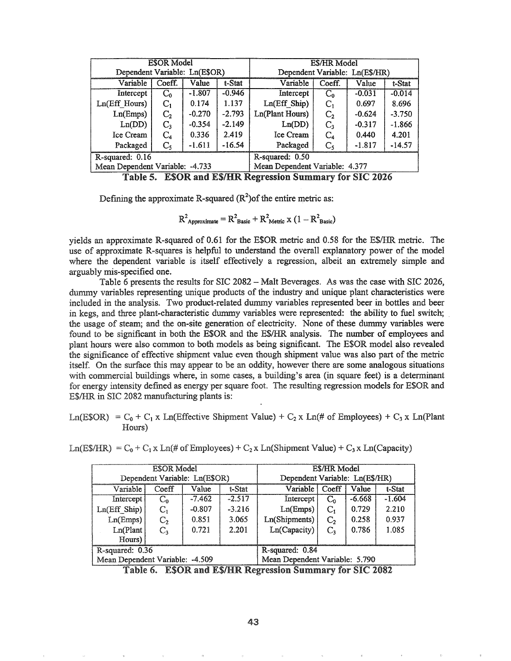| <b>ESOR</b> Model               |                |          | E\$/HR Model                   |                 |                |          |          |
|---------------------------------|----------------|----------|--------------------------------|-----------------|----------------|----------|----------|
| Dependent Variable: Ln(E\$OR)   |                |          | Dependent Variable: Ln(E\$/HR) |                 |                |          |          |
| Variable                        | Coeff.         | Value    | t-Stat                         | Variable        | Coeff.         | Value    | t-Stat   |
| Intercept                       | $C_0$          | $-1.807$ | $-0.946$                       | Intercept       | $C_0$          | $-0.031$ | $-0.014$ |
| Ln(Eff Hours)                   | $C_1$          | 0.174    | 1.137                          | Ln(Eff Ship)    | $C_{1}$        | 0.697    | 8.696    |
| Ln(Emps)                        | C <sub>2</sub> | $-0.270$ | $-2.793$                       | Ln(Plant Hours) | C <sub>2</sub> | $-0.624$ | $-3.750$ |
| Ln(DD)                          | $C_3$          | $-0.354$ | $-2.149$                       | Ln(DD)          | $C_{3}$        | $-0.317$ | $-1.866$ |
| Ice Cream                       | $C_4$          | 0.336    | 2.419                          | Ice Cream       | $\rm{C}_4$     | 0.440    | 4.201    |
| Packaged                        | $C_{5}$        | $-1.611$ | $-16.54$                       | Packaged        | $\mathbf{C}$   | $-1.817$ | $-14.57$ |
| R-squared: 0.16                 |                |          | R-squared: 0.50                |                 |                |          |          |
| Mean Dependent Variable: -4.733 |                |          | Mean Dependent Variable: 4.377 |                 |                |          |          |

Table 5. ESOR and ES/HR Regression Summary for SIC 2026

Defining the approximate R-squared  $(R^2)$  of the entire metric as:

 $R^2$ <sub>Approximate</sub> =  $R^2$ <sub>Basic</sub> +  $R^2$ <sub>Metric</sub> x (1 –  $R^2$ <sub>Basic</sub>)

yields an approximate R-squared of 0.61 for the E\$OR metric and 0.58 for the E\$/HR. metric. The use of approximate R-squares is helpful to understand the overall explanatory power of the model where the dependent variable is itself effectively a regression, albeit an extremely simple and arguably mis-specified one.

Table 6 presents the results for SIC 2082 - Malt Beverages. As was the case with SIC 2026, dummy variables representing unique products of the industry and unique plant characteristics were included in the analysis.. Two product-related dummy variables represented beer in bottles and beer in kegs, and three plant-characteristic dummy variables were represented: the ability to fuel switch; the usage of steam; and the on-site generation of electricity. None of these dummy variables were found to be significant in both the E\$OR and the E\$/HR. analysis.. The number of employees and plant hours were also common to both models as being significant.. The E\$OR model also revealed the significance of effective shipment value even though shipment value was also part of the metric itself. On the surface this may appear to be an oddity, however there are some analogous situations with commercial buildings where, in some cases, a building's area (in square feet) is a determinant for energy intensity defined as energy per square foot.. The resulting regression models for E\$OR and E\$/HR in SIC 2082 manufacturing plants is:

 $Ln(ESOR) = C_0 + C_1 x$  Ln(Effective Shipment Value) + C<sub>2</sub> x Ln(# of Employees) + C<sub>3</sub> x Ln(Plant Hours)

| ESOR Model                      |                               |          |                                | E\$/HR Model                          |              |          |          |  |
|---------------------------------|-------------------------------|----------|--------------------------------|---------------------------------------|--------------|----------|----------|--|
|                                 | Dependent Variable: Ln(E\$OR) |          |                                | Dependent Variable: Ln(E\$/HR)        |              |          |          |  |
| Variable                        | Coeff                         | Value    | t-Stat                         | Variable                              | Coeff        | Value    | t-Stat   |  |
| Intercept !                     | $C_{0}$                       | $-7.462$ | $-2.517$                       | Intercept                             | $C_{\alpha}$ | $-6.668$ | $-1.604$ |  |
| $Ln(Eff$ Ship)                  | $C_{1}$                       | $-0.807$ | $-3.216$                       | 2.210<br>Ln(Emps)<br>$C_{1}$<br>0.729 |              |          |          |  |
| Ln(Emps)                        | C <sub>2</sub>                | 0.851    | 3.065                          | Ln(Shipments)<br>0.258<br>$C_{2}$     |              |          | 0.937    |  |
| Ln(Plant                        | $C_{3}$                       | 0.721    | 2.201                          | Ln(Capacity)                          | $C_{3}$      | 0.786    | 1.085    |  |
| Hours)                          |                               |          |                                |                                       |              |          |          |  |
| R-squared: 0.36                 |                               |          | R-squared: 0.84                |                                       |              |          |          |  |
| Mean Dependent Variable: -4.509 |                               |          | Mean Dependent Variable: 5.790 |                                       |              |          |          |  |

 $\text{Ln}(ES/HR) = C_0 + C_1 x \text{ Ln}(H \text{ of } Employes) + C_2 x \text{ Ln}(Shipment Value) + C_3 x \text{ Ln}(Capacity)$ 

Table 6. ESOR and ES/HR Regression Summary for SIC 2082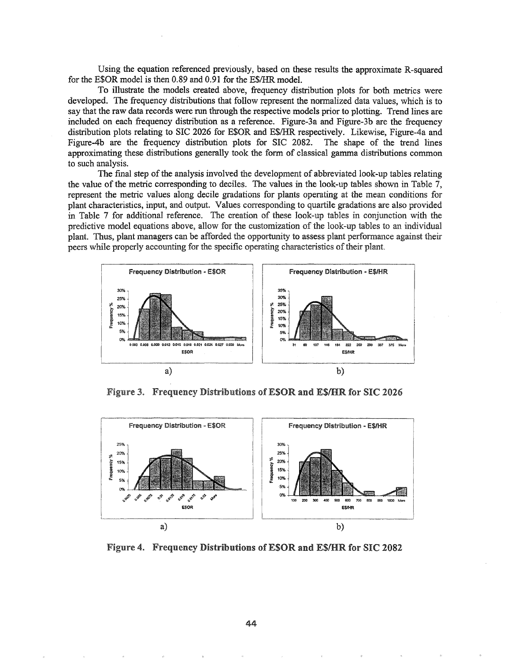Using the equation referenced previously, based on these results the approximate R-squared for the E\$OR model is then 0.89 and 0.91 for the E\$/HR. model.

To illustrate the models created above, frequency distribution plots for both metrics were developed. The frequency distributions that follow represent the normalized data values, which is to say that the raw data records were run through the respective models prior to plotting. Trend lines are included on each frequency distribution as a reference. Figure-3a and Figure-3b are the frequency distribution plots relating to SIC 2026 for E\$OR and E\$/HR respectively. Likewise, Figure-4a and Figure-4b are the frequency distribution plots for SIC 2082. The shape of the trend lines approximating these distributions generally took the form of classical gamma distributions common to such analysis.

The final step of the analysis involved the development of abbreviated look-up tables relating the value of the metric corresponding to deciles. The values in the look-up tables shown in Table 7, represent the metric values along decile gradations for plants operating at the mean conditions for plant characteristics, input, and output.. Values corresponding to quartile gradations are also provided in Table 7 for additional reference. The creation of these look-up tables in conjunction with the predictive model equations above, allow for the customization of the look-up tables to an individual plant. Thus, plant managers can be afforded the opportunity to assess plant perfonnance against their peers while properly accounting for the specific operating characteristics of their plant.



Figure 3. Frequency Distributions of ESOR and ES/HR for SIC 2026



Figure 4. Frequency Distributions of ESOR and ES/HR for SIC 2082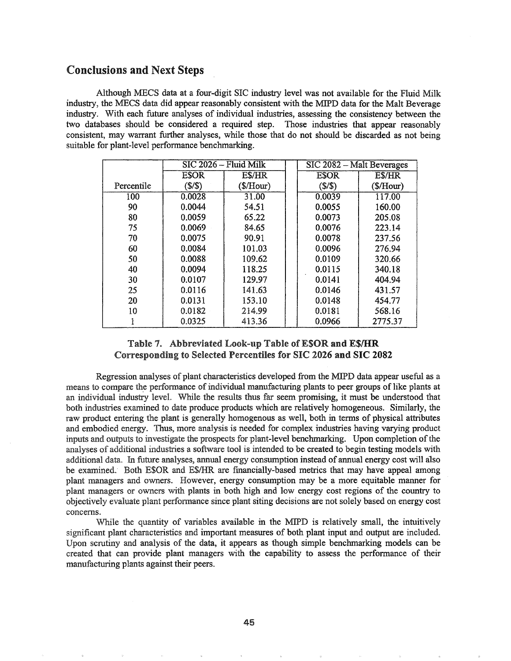## Conclusions and Next Steps

Although MECS data at a four-digit SIC industry level was not available for the Fluid Milk industry, the MECS data did appear reasonably consistent with the MIPD data for the Malt Beverage industry. With each future analyses of individual industries, assessing the consistency between the two databases should be considered a required step. Those industries that appear reasonably consistent, may warrant further analyses, while those that do not should be discarded as not being suitable for plant-level performance benchmarking.

|            |             | SIC 2026 - Fluid Milk | SIC 2082 - Malt Beverages |               |  |
|------------|-------------|-----------------------|---------------------------|---------------|--|
|            | <b>ESOR</b> | E\$/HR                | <b>ESOR</b>               | <b>E\$/HR</b> |  |
| Percentile | (S/S)       | (\$/Hour)             | (S/S)                     | (\$/Hour)     |  |
| 100        | 0.0028      | 31.00                 | 0.0039                    | 117.00        |  |
| 90         | 0.0044      | 54.51                 | 0.0055                    | 160.00        |  |
| 80         | 0.0059      | 65.22                 | 0.0073                    | 205.08        |  |
| 75         | 0.0069      | 84.65                 | 0.0076                    | 223.14        |  |
| 70         | 0.0075      | 90.91                 | 0.0078                    | 237.56        |  |
| 60         | 0.0084      | 101.03                | 0.0096                    | 276.94        |  |
| 50         | 0.0088      | 109.62                | 0.0109                    | 320.66        |  |
| 40         | 0.0094      | 118.25                | 0.0115                    | 340.18        |  |
| 30         | 0.0107      | 129.97                | 0.0141                    | 404.94        |  |
| 25         | 0.0116      | 141.63                | 0.0146                    | 431.57        |  |
| 20         | 0.0131      | 153.10                | 0.0148                    | 454.77        |  |
| 10         | 0.0182      | 214.99                | 0.0181                    | 568.16        |  |
|            | 0.0325      | 413.36                | 0.0966                    | 2775.37       |  |

### Table 7. Abbreviated Look-up Table of ESOR and ES/HR Corresponding to Selected Percentiles for SIC 2026 and SIC 2082

Regression analyses of plant characteristics developed from the MIPD data appear useful as a means to compare the performance of individual manufacturing plants to peer groups of like plants at an individual industry level.. While the results thus far seem promising, it must be understood that both industries examined to date produce products which are relatively homogeneous. Similarly, the raw product entering the plant is generally homogenous as well, both in terms of physical attributes and embodied energy. Thus, more analysis is needed for complex industries having varying product inputs and outputs to investigate the prospects for plant-level benchmarking. Upon completion ofthe analyses of additional industries a software tool is intended to be created to begin testing models with additional data. In future analyses, annual energy consumption instead of annual energy cost will also be examined. Both E\$OR and E\$/HR are financially-based metrics that may have appeal among plant managers and owners. However, energy consumption may be a more equitable manner for plant managers or owners with plants in both high and low energy cost regions of the country to objectively evaluate plant perfonnance since plant siting decisions are not solely based on energy cost concerns.

While the quantity of variables available in the MIPD is relatively small, the intuitively significant plant characteristics and important measures of both plant input and output are included. Upon scrutiny and analysis of the data, it appears as though simple benchmarking models can be created that can provide plant managers with the capability to assess the performance of their manufacturing plants against their peers.